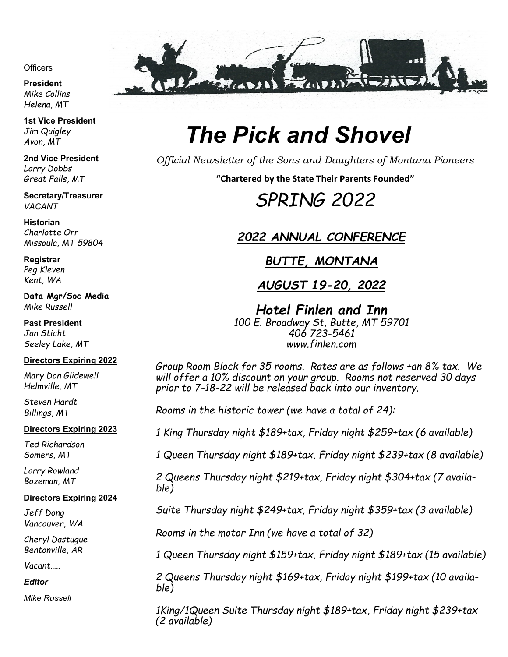#### **Officers**

**President**  *Mike Collins Helena, MT*

**1st Vice President**  *Jim Quigley Avon, MT*

**2nd Vice President** *Larry Dobbs Great Falls, MT*

**Secretary/Treasurer**  *VACANT*

**Historian** *Charlotte Orr Missoula, MT 59804*

**Registrar** *Peg Kleven Kent, WA* 

**Data Mgr/Soc Media** *Mike Russell*

**Past President**  *Jan Sticht Seeley Lake, MT*

#### **Directors Expiring 2022**

*Mary Don Glidewell Helmville, MT*

*Steven Hardt Billings, MT*

#### **Directors Expiring 2023**

*Ted Richardson Somers, MT*

*Larry Rowland Bozeman, MT*

#### **Directors Expiring 2024**

*Jeff Dong Vancouver, WA*

*Cheryl Dastugue Bentonville, AR*

*Vacant…..*

*Editor* 

*Mike Russell* 



## *The Pick and Shovel*

*Official Newsletter of the Sons and Daughters of Montana Pioneers*

**"Chartered by the State Their Parents Founded"**

## *SPRING 2022*

### *2022 ANNUAL CONFERENCE*

*BUTTE, MONTANA*

*AUGUST 19-20, 2022*

*Hotel Finlen and Inn 100 E. Broadway St, Butte, MT 59701 406 723-5461 www.finlen.com*

*Group Room Block for 35 rooms. Rates are as follows +an 8% tax. We will offer a 10% discount on your group. Rooms not reserved 30 days prior to 7-18-22 will be released back into our inventory.*

*Rooms in the historic tower (we have a total of 24):*

*1 King Thursday night \$189+tax, Friday night \$259+tax (6 available)*

*1 Queen Thursday night \$189+tax, Friday night \$239+tax (8 available)*

*2 Queens Thursday night \$219+tax, Friday night \$304+tax (7 available)*

*Suite Thursday night \$249+tax, Friday night \$359+tax (3 available)*

*Rooms in the motor Inn (we have a total of 32)*

*1 Queen Thursday night \$159+tax, Friday night \$189+tax (15 available)*

*2 Queens Thursday night \$169+tax, Friday night \$199+tax (10 available)*

*1King/1Queen Suite Thursday night \$189+tax, Friday night \$239+tax (2 available)*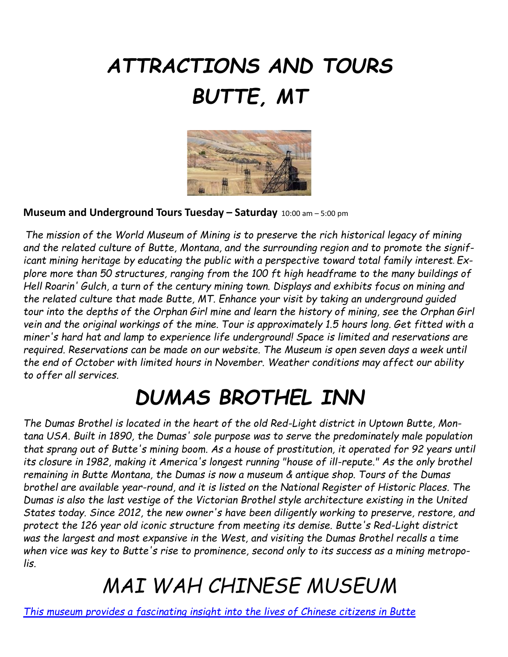# *ATTRACTIONS AND TOURS BUTTE, MT*



**Museum and Underground Tours Tuesday – Saturday** 10:00 am – 5:00 pm

*The mission of the World Museum of Mining is to preserve the rich historical legacy of mining and the related culture of Butte, Montana, and the surrounding region and to promote the significant mining heritage by educating the public with a perspective toward total family interest*. *Explore more than 50 structures, ranging from the 100 ft high headframe to the many buildings of Hell Roarin' Gulch, a turn of the century mining town. Displays and exhibits focus on mining and the related culture that made Butte, MT. Enhance your visit by taking an underground guided tour into the depths of the Orphan Girl mine and learn the history of mining, see the Orphan Girl vein and the original workings of the mine. Tour is approximately 1.5 hours long. Get fitted with a miner's hard hat and lamp to experience life underground! Space is limited and reservations are required. Reservations can be made on our website. The Museum is open seven days a week until the end of October with limited hours in November. Weather conditions may affect our ability to offer all services.* 

## *DUMAS BROTHEL INN*

*The Dumas Brothel is located in the heart of the old Red-Light district in Uptown Butte, Montana USA. Built in 1890, the Dumas' sole purpose was to serve the predominately male population that sprang out of Butte's mining boom. As a house of prostitution, it operated for 92 years until its closure in 1982, making it America's longest running "house of ill-repute." As the only brothel remaining in Butte Montana, the Dumas is now a museum & antique shop. Tours of the Dumas brothel are available year-round, and it is listed on the National Register of Historic Places. The Dumas is also the last vestige of the Victorian Brothel style architecture existing in the United States today. Since 2012, the new owner's have been diligently working to preserve, restore, and protect the 126 year old iconic structure from meeting its demise. Butte's Red-Light district was the largest and most expansive in the West, and visiting the Dumas Brothel recalls a time when vice was key to Butte's rise to prominence, second only to its success as a mining metropolis.*

## *MAI WAH CHINESE MUSEUM*

*[This museum provides a fascinating insight into the lives of Chinese citizens in Butte](https://www.tripadvisor.com/ShowUserReviews-g45106-d481538-r711509890-The_Mai_Wah-Butte_Montana.html)*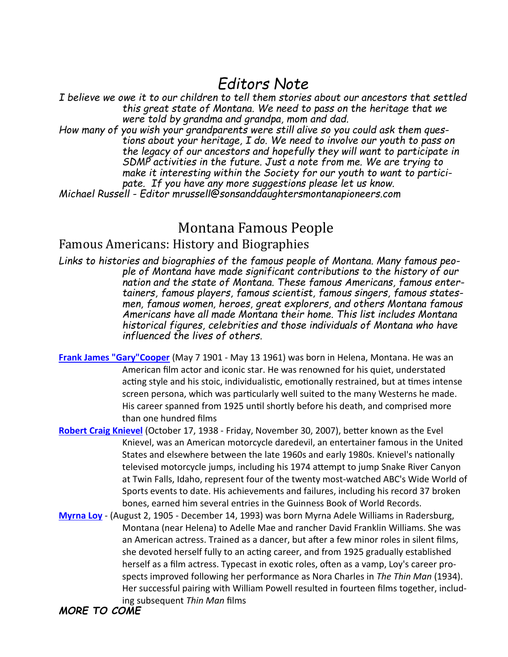## *Editors Note*

*I believe we owe it to our children to tell them stories about our ancestors that settled this great state of Montana. We need to pass on the heritage that we were told by grandma and grandpa, mom and dad.* 

*How many of you wish your grandparents were still alive so you could ask them questions about your heritage, I do. We need to involve our youth to pass on the legacy of our ancestors and hopefully they will want to participate in SDMP activities in the future. Just a note from me. We are trying to make it interesting within the Society for our youth to want to participate. If you have any more suggestions please let us know.*

*Michael Russell - Editor mrussell@sonsanddaughtersmontanapioneers.com* 

### Montana Famous People

### Famous Americans: History and Biographies

*Links to histories and biographies of the famous people of Montana. Many famous people of Montana have made significant contributions to the history of our nation and the state of Montana. These famous Americans, famous entertainers, famous players, famous scientist, famous singers, famous statesmen, famous women, heroes, great explorers, and others Montana famous Americans have all made Montana their home. This list includes Montana historical figures, celebrities and those individuals of Montana who have influenced the lives of others.*

- **[Frank James "Gary"Cooper](http://www.garycooper.com)** (May 7 1901 May 13 1961) was born in Helena, Montana. He was an American film actor and iconic star. He was renowned for his quiet, understated acting style and his stoic, individualistic, emotionally restrained, but at times intense screen persona, which was particularly well suited to the many Westerns he made. His career spanned from 1925 until shortly before his death, and comprised more than one hundred films
- **[Robert Craig Knievel](https://en.wikipedia.org/wiki/Evel_Knievel)** (October 17, 1938 Friday, November 30, 2007), better known as the Evel Knievel, was an American motorcycle daredevil, an entertainer famous in the United States and elsewhere between the late 1960s and early 1980s. Knievel's nationally televised motorcycle jumps, including his 1974 attempt to jump Snake River Canyon at Twin Falls, Idaho, represent four of the twenty most-watched ABC's Wide World of Sports events to date. His achievements and failures, including his record 37 broken bones, earned him several entries in the Guinness Book of World Records.
- **[Myrna Loy](https://en.wikipedia.org/wiki/Myrna_Loy)** (August 2, 1905 December 14, 1993) was born Myrna Adele Williams in Radersburg, Montana (near Helena) to Adelle Mae and rancher David Franklin Williams. She was an American actress. Trained as a dancer, but after a few minor roles in silent films, she devoted herself fully to an acting career, and from 1925 gradually established herself as a film actress. Typecast in exotic roles, often as a vamp, Loy's career prospects improved following her performance as Nora Charles in *The Thin Man* (1934). Her successful pairing with William Powell resulted in fourteen films together, including subsequent *Thin Man* films

### *MORE TO COME*